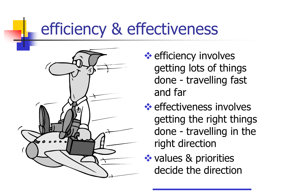### efficiency & effectiveness



- **<sup>❖</sup>** efficiency involves getting lots of things done - travelling fast and far
- **<sup>◆</sup>** effectiveness involves getting the right things done - travelling in the right direction
- **❖ values & priorities** decide the direction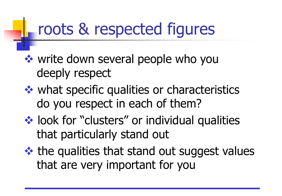#### roots & respected figures

- **❖ write down several people who you** deeply respect
- **❖ what specific qualities or characteristics** do you respect in each of them?
- **❖ look for "clusters" or individual qualities** that particularly stand out
- $\triangleleft$  the qualities that stand out suggest values that are very important for you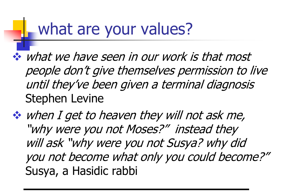#### what are your values?

- what we have seen in our work is that most people don't give themselves permission to live until they've been given a terminal diagnosis Stephen Levine
- when I get to heaven they will not ask me, "why were you not Moses?" instead they will ask "why were you not Susya? why did you not become what only you could become?" Susya, a Hasidic rabbi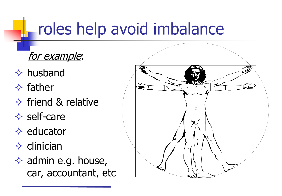## roles help avoid imbalance

for example:

- $\Leftrightarrow$  husband
- $\Diamond$  father
- $\Diamond$  friend & relative
- $\diamond$  self-care
- $\Diamond$  educator
- $\Diamond$  clinician
- $\Diamond$  admin e.g. house, car, accountant, etc

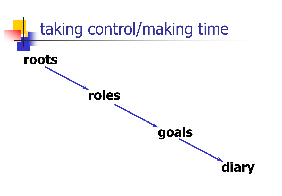